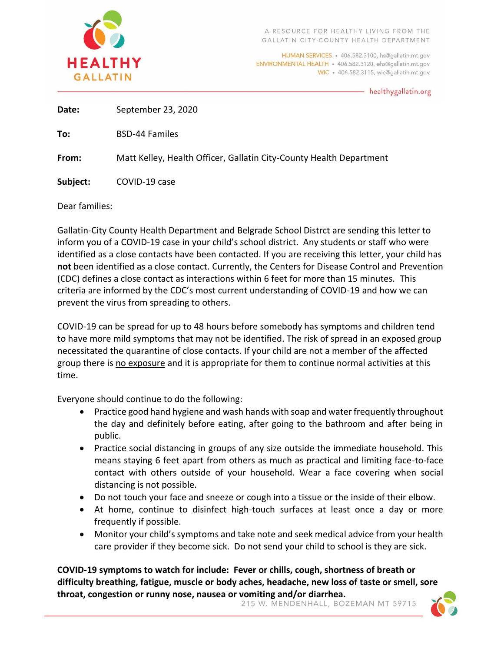

HUMAN SERVICES · 406.582.3100, hs@gallatin.mt.gov ENVIRONMENTAL HEALTH · 406.582.3120, ehs@gallatin.mt.gov WIC · 406.582.3115, wic@gallatin.mt.gov

healthygallatin.org

**Date:** September 23, 2020

**To:** BSD-44 Familes

**From:** Matt Kelley, Health Officer, Gallatin City-County Health Department

**Subject:** COVID-19 case

Dear families:

Gallatin-City County Health Department and Belgrade School Distrct are sending this letter to inform you of a COVID-19 case in your child's school district. Any students or staff who were identified as a close contacts have been contacted. If you are receiving this letter, your child has **not** been identified as a close contact. Currently, the Centers for Disease Control and Prevention (CDC) defines a close contact as interactions within 6 feet for more than 15 minutes. This criteria are informed by the CDC's most current understanding of COVID-19 and how we can prevent the virus from spreading to others.

COVID-19 can be spread for up to 48 hours before somebody has symptoms and children tend to have more mild symptoms that may not be identified. The risk of spread in an exposed group necessitated the quarantine of close contacts. If your child are not a member of the affected group there is no exposure and it is appropriate for them to continue normal activities at this time.

Everyone should continue to do the following:

- Practice good hand hygiene and wash hands with soap and water frequently throughout the day and definitely before eating, after going to the bathroom and after being in public.
- Practice social distancing in groups of any size outside the immediate household. This means staying 6 feet apart from others as much as practical and limiting face-to-face contact with others outside of your household. Wear a face covering when social distancing is not possible.
- Do not touch your face and sneeze or cough into a tissue or the inside of their elbow.
- At home, continue to disinfect high-touch surfaces at least once a day or more frequently if possible.
- Monitor your child's symptoms and take note and seek medical advice from your health care provider if they become sick. Do not send your child to school is they are sick.

**COVID-19 symptoms to watch for include: Fever or chills, cough, shortness of breath or difficulty breathing, fatigue, muscle or body aches, headache, new loss of taste or smell, sore throat, congestion or runny nose, nausea or vomiting and/or diarrhea.**